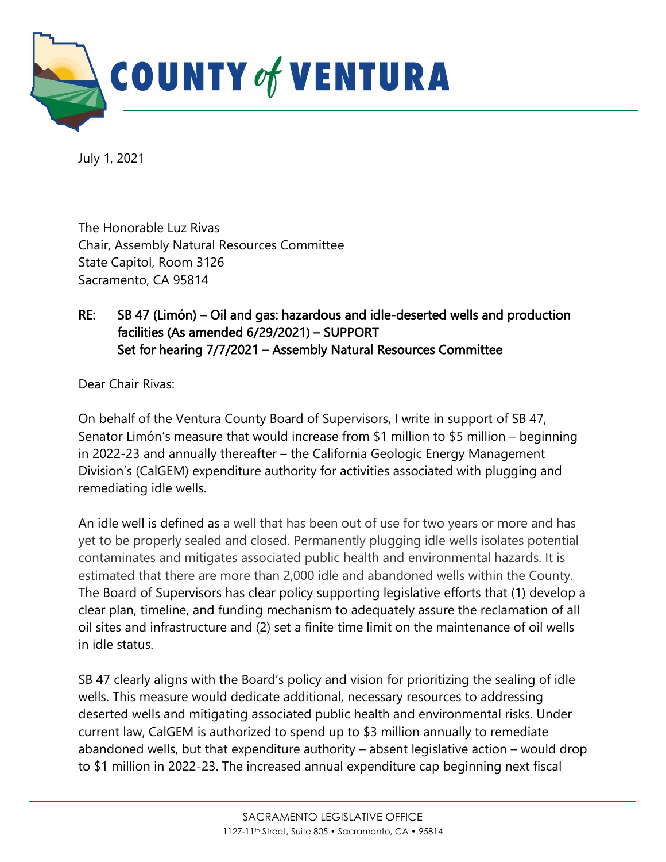

July 1, 2021

The Honorable Luz Rivas Chair, Assembly Natural Resources Committee State Capitol, Room 3126 Sacramento, CA 95814

## RE: SB 47 (Limón) – Oil and gas: hazardous and idle-deserted wells and production facilities (As amended 6/29/2021) – SUPPORT Set for hearing 7/7/2021 – Assembly Natural Resources Committee

Dear Chair Rivas:

On behalf of the Ventura County Board of Supervisors, I write in support of SB 47, Senator Limón's measure that would increase from \$1 million to \$5 million – beginning in 2022-23 and annually thereafter – the California Geologic Energy Management Division's (CalGEM) expenditure authority for activities associated with plugging and remediating idle wells.

An idle well is defined as a well that has been out of use for two years or more and has yet to be properly sealed and closed. Permanently plugging idle wells isolates potential contaminates and mitigates associated public health and environmental hazards. It is estimated that there are more than 2,000 idle and abandoned wells within the County. The Board of Supervisors has clear policy supporting legislative efforts that (1) develop a clear plan, timeline, and funding mechanism to adequately assure the reclamation of all oil sites and infrastructure and (2) set a finite time limit on the maintenance of oil wells in idle status.

SB 47 clearly aligns with the Board's policy and vision for prioritizing the sealing of idle wells. This measure would dedicate additional, necessary resources to addressing deserted wells and mitigating associated public health and environmental risks. Under current law, CalGEM is authorized to spend up to \$3 million annually to remediate abandoned wells, but that expenditure authority – absent legislative action – would drop to \$1 million in 2022-23. The increased annual expenditure cap beginning next fiscal